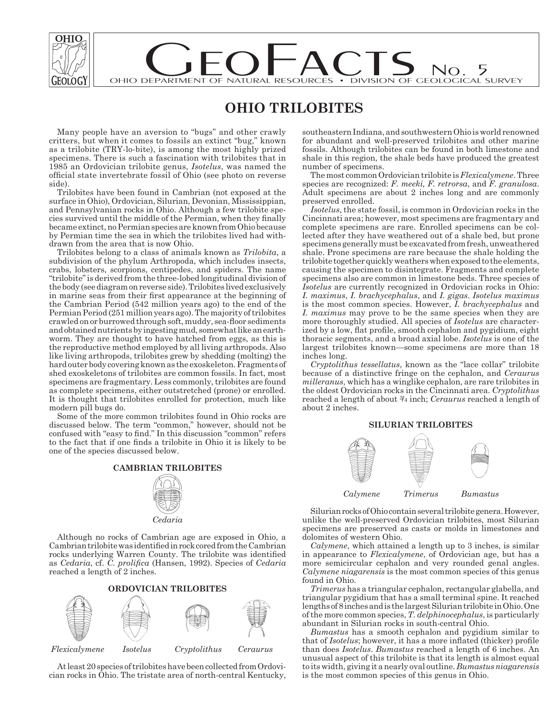

# DEPARTMENT OF NATURAL RESOURCES . DIVISION OF GEOLOGICAL S OHIO DEPARTMENT OF NATURAL RESOURCES • DIVISION OF GEOLOGICAL SURVEY

## **OHIO TRILOBITES**

Many people have an aversion to "bugs" and other crawly critters, but when it comes to fossils an extinct "bug," known as a trilobite (TRY-lo-bite), is among the most highly prized specimens. There is such a fascination with trilobites that in 1985 an Ordovician trilobite genus, *Isotelus*, was named the official state invertebrate fossil of Ohio (see photo on reverse side).

Trilobites have been found in Cambrian (not exposed at the surface in Ohio), Ordovician, Silurian, Devonian, Mississippian, and Pennsylvanian rocks in Ohio. Although a few trilobite species survived until the middle of the Permian, when they finally became extinct, no Permian species are known from Ohio because by Permian time the sea in which the trilobites lived had withdrawn from the area that is now Ohio.

Trilobites belong to a class of animals known as *Trilobita*, a subdivision of the phylum Arthropoda, which includes insects, crabs, lobsters, scorpions, centipedes, and spiders. The name "trilobite" is derived from the three-lobed longitudinal division of the body (see diagram on reverse side). Trilobites lived exclusively in marine seas from their first appearance at the beginning of the Cambrian Period (542 million years ago) to the end of the Permian Period (251 million years ago). The majority of trilobites crawled on or burrowed through soft, muddy, sea-floor sediments and obtained nutrients by ingesting mud, somewhat like an earthworm. They are thought to have hatched from eggs, as this is the reproductive method employed by all living arthropods. Also like living arthropods, trilobites grew by shedding (molting) the hard outer body covering known as the exoskeleton. Fragments of shed exoskeletons of trilobites are common fossils. In fact, most specimens are fragmentary. Less commonly, trilobites are found as complete specimens, either outstretched (prone) or enrolled. It is thought that trilobites enrolled for protection, much like modern pill bugs do.

Some of the more common trilobites found in Ohio rocks are dis cussed below. The term "common," however, should not be confused with "easy to find." In this discussion "common" refers to the fact that if one finds a trilobite in Ohio it is likely to be one of the species discussed below.



Although no rocks of Cambrian age are exposed in Ohio, a Cambrian trilobite was identified in rock cored from the Cambrian rocks underlying Warren County. The trilobite was identified as *Cedaria*, cf. C. prolifica (Hansen, 1992). Species of *Cedaria* reached a length of 2 inches.



At least 20 species of trilobites have been collected from Ordovician rocks in Ohio. The tristate area of north-central Kentucky, southeastern Indiana, and southwestern Ohio is world renowned for abundant and well-preserved trilobites and other marine fossils. Although trilobites can be found in both limestone and shale in this region, the shale beds have produced the greatest number of specimens.

The most common Ordovician trilobite is *Flexicalymene*. Three species are recognized: *F. meeki, F. retrorsa*, and *F. granulosa*. Adult specimens are about 2 inches long and are commonly preserved en rolled.

*Isotelus*, the state fossil, is common in Ordovician rocks in the Cincinnati area; however, most specimens are fragmentary and complete specimens are rare. Enrolled specimens can be collected after they have weathered out of a shale bed, but prone specimens generally must be excavated from fresh, unweathered shale. Prone specimens are rare because the shale holding the trilobite together quickly weathers when exposed to the elements, causing the specimen to disintegrate. Fragments and complete specimens also are common in limestone beds. Three species of *Isotelus* are currently recognized in Ordovician rocks in Ohio: *I. maximus*, *I. brachycephalus*, and *I. gigas*. *Isotelus maximus* is the most common species. However, *I. brachycephalus* and *I. maximus* may prove to be the same species when they are more thoroughly studied. All species of *Isotelus* are characterized by a low, flat profile, smooth cephalon and pygidium, eight thoracic segments, and a broad axial lobe. *Isotelus* is one of the largest trilobites known—some specimens are more than 18 inches long.

*Cryptolithus tessellatus*, known as the "lace collar" trilobite be cause of a distinctive fringe on the cephalon, and *Ceraurus milleranus*, which has a winglike cephalon, are rare trilobites in the oldest Ordovician rocks in the Cincinnati area. *Cryptolithus* reached a length of about 3/4 inch; *Ceraurus* reached a length of about 2 inches.

### **SILURIAN TRILOBITES**



Silurian rocks of Ohio contain several trilobite genera. However, unlike the well-preserved Ordovician trilobites, most Silurian specimens are preserved as casts or molds in limestones and dolomites of western Ohio.

*Calymene*, which attained a length up to 3 inches, is similar in appearance to *Flexicalymene*, of Ordovician age, but has a more semicircular cephalon and very rounded genal angles. *Calymene niagarensis* is the most common species of this genus found in Ohio.

*Trimerus* has a triangular cephalon, rectangular glabella, and triangular pygidium that has a small terminal spine. It reached lengths of 8 inches and is the largest Silurian trilobite in Ohio. One of the more common species, *T. delphinocephalus*, is particularly abundant in Silurian rocks in south-central Ohio.

*Bumastus* has a smooth cephalon and pygidium similar to that of *Isotelus*; however, it has a more inflated (thicker) profile than does *Isotelus*. *Bumastus* reached a length of 6 inches. An unusual aspect of this trilobite is that its length is almost equal to its width, giving it a nearly oval outline. *Bumastus niagarensis* is the most common species of this genus in Ohio.